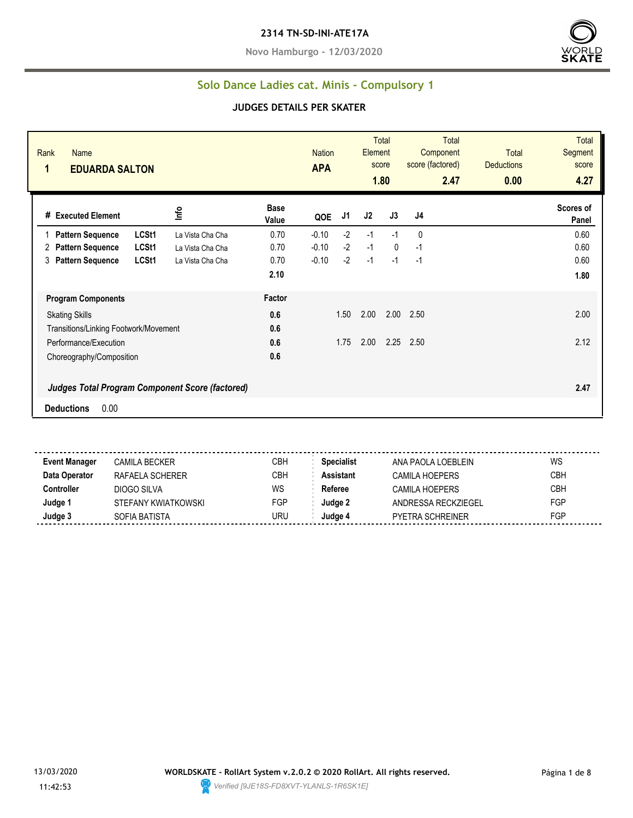**Novo Hamburgo - 12/03/2020**



### **Solo Dance Ladies cat. Minis - Compulsory 1**

#### **JUDGES DETAILS PER SKATER**

| Rank<br>Name<br>1<br><b>EDUARDA SALTON</b> |                                                        |                      | <b>Nation</b><br><b>APA</b> |      | Element | <b>Total</b><br>score<br>1.80 | <b>Total</b><br>Component<br>score (factored)<br>2.47 | <b>Total</b><br><b>Deductions</b><br>0.00 | <b>Total</b><br>Segment<br>score<br>4.27 |
|--------------------------------------------|--------------------------------------------------------|----------------------|-----------------------------|------|---------|-------------------------------|-------------------------------------------------------|-------------------------------------------|------------------------------------------|
| # Executed Element                         | Info                                                   | <b>Base</b><br>Value | QOE                         | J1   | J2      | J3                            | J4                                                    |                                           | Scores of<br>Panel                       |
| <b>Pattern Sequence</b>                    | LCSt1<br>La Vista Cha Cha                              | 0.70                 | $-0.10$                     | $-2$ | $-1$    | $-1$                          | 0                                                     |                                           | 0.60                                     |
| <b>Pattern Sequence</b><br>2               | LCSt1<br>La Vista Cha Cha                              | 0.70                 | $-0.10$                     | $-2$ | $-1$    | $\mathbf{0}$                  | $-1$                                                  |                                           | 0.60                                     |
| <b>Pattern Sequence</b><br>3               | LCSt1<br>La Vista Cha Cha                              | 0.70                 | $-0.10$                     | $-2$ | $-1$    | $-1$                          | $-1$                                                  |                                           | 0.60                                     |
|                                            |                                                        | 2.10                 |                             |      |         |                               |                                                       |                                           | 1.80                                     |
| <b>Program Components</b>                  |                                                        | Factor               |                             |      |         |                               |                                                       |                                           |                                          |
| <b>Skating Skills</b>                      |                                                        | 0.6                  |                             | 1.50 | 2.00    | 2.00                          | 2.50                                                  |                                           | 2.00                                     |
| Transitions/Linking Footwork/Movement      |                                                        | 0.6                  |                             |      |         |                               |                                                       |                                           |                                          |
| Performance/Execution                      |                                                        | 0.6                  |                             | 1.75 | 2.00    | 2.25                          | 2.50                                                  |                                           | 2.12                                     |
| Choreography/Composition                   |                                                        | 0.6                  |                             |      |         |                               |                                                       |                                           |                                          |
|                                            | <b>Judges Total Program Component Score (factored)</b> |                      |                             |      |         |                               |                                                       |                                           | 2.47                                     |
| 0.00<br><b>Deductions</b>                  |                                                        |                      |                             |      |         |                               |                                                       |                                           |                                          |

**Event Manager** CAMILA BECKER CBH **Specialist** ANA PAOLA LOEBLEIN WS **Data Operator** RAFAELA SCHERER CBH **Assistant** CAMILA HOEPERS CBH **Controller** DIOGO SILVA WS Referee CAMILA HOEPERS CBH **Judge 1** STEFANY KWIATKOWSKI FGP **Judge 2** ANDRESSA RECKZIEGEL FGP **Judge 3** SOFIA BATISTA URU **Judge 4** PYETRA SCHREINER FGP

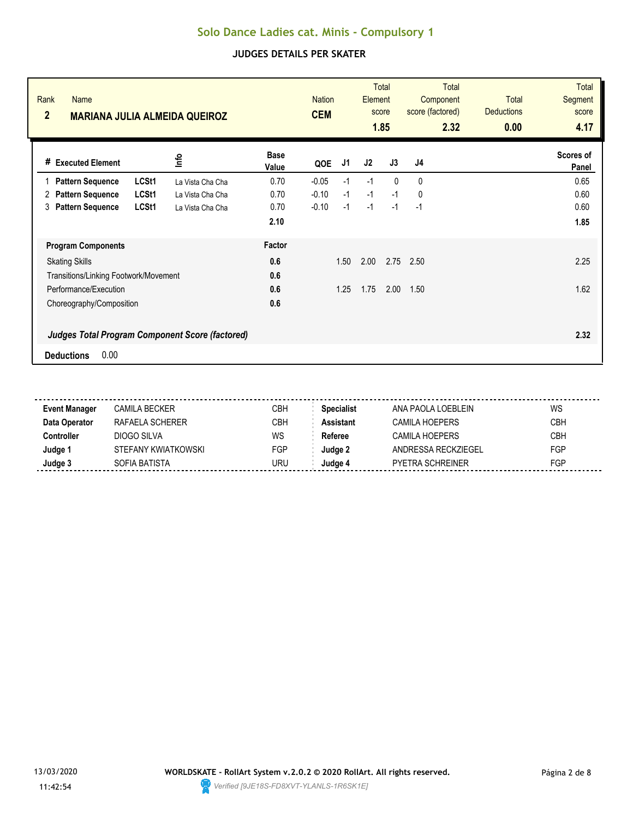| Rank<br>Name<br>$\overline{2}$        | <b>MARIANA JULIA ALMEIDA QUEIROZ</b>                   |                      | <b>Nation</b><br><b>CEM</b> |      | Element | <b>Total</b><br>score<br>1.85 | Total<br>Component<br>score (factored)<br>2.32 | Total<br><b>Deductions</b><br>0.00 | <b>Total</b><br><b>Segment</b><br>score<br>4.17 |
|---------------------------------------|--------------------------------------------------------|----------------------|-----------------------------|------|---------|-------------------------------|------------------------------------------------|------------------------------------|-------------------------------------------------|
| # Executed Element                    | <u>o</u>                                               | <b>Base</b><br>Value | QOE                         | J1   | J2      | J3                            | J4                                             |                                    | Scores of<br>Panel                              |
| <b>Pattern Sequence</b>               | LCSt1<br>La Vista Cha Cha                              | 0.70                 | $-0.05$                     | $-1$ | $-1$    | $\Omega$                      | $\Omega$                                       |                                    | 0.65                                            |
| <b>Pattern Sequence</b><br>2          | LCSt1<br>La Vista Cha Cha                              | 0.70                 | $-0.10$                     | $-1$ | $-1$    | $-1$                          | $\mathbf{0}$                                   |                                    | 0.60                                            |
| <b>Pattern Sequence</b><br>3          | LCSt1<br>La Vista Cha Cha                              | 0.70                 | $-0.10$                     | $-1$ | $-1$    | $-1$                          | $-1$                                           |                                    | 0.60                                            |
|                                       |                                                        | 2.10                 |                             |      |         |                               |                                                |                                    | 1.85                                            |
| <b>Program Components</b>             |                                                        | Factor               |                             |      |         |                               |                                                |                                    |                                                 |
| <b>Skating Skills</b>                 |                                                        | 0.6                  |                             | 1.50 | 2.00    | 2.75                          | 2.50                                           |                                    | 2.25                                            |
| Transitions/Linking Footwork/Movement |                                                        | 0.6                  |                             |      |         |                               |                                                |                                    |                                                 |
| Performance/Execution                 |                                                        | 0.6                  |                             | 1.25 | 1.75    | 2.00                          | 1.50                                           |                                    | 1.62                                            |
| Choreography/Composition              |                                                        | 0.6                  |                             |      |         |                               |                                                |                                    |                                                 |
|                                       | <b>Judges Total Program Component Score (factored)</b> |                      |                             |      |         |                               |                                                |                                    | 2.32                                            |
| 0.00<br><b>Deductions</b>             |                                                        |                      |                             |      |         |                               |                                                |                                    |                                                 |

| <b>Event Manager</b> | CAMILA BECKER       | CBH | <b>Specialist</b> | ANA PAOLA LOEBLEIN      | WS         |
|----------------------|---------------------|-----|-------------------|-------------------------|------------|
| Data Operator        | RAFAFI A SCHFRFR    | CBH | <b>Assistant</b>  | CAMILA HOFPERS          | <b>CBH</b> |
| Controller           | DIOGO SILVA         | WS  | Referee           | CAMILA HOFPFRS          | <b>CBH</b> |
| Judge 1              | STEFANY KWIATKOWSKI | FGP | Judge 2           | ANDRESSA RECKZIEGEL     | <b>FGP</b> |
| Judge 3              | SOFIA BATISTA       | URU | Judae 4           | <b>PYETRA SCHREINER</b> | FGP        |
|                      |                     |     |                   |                         |            |

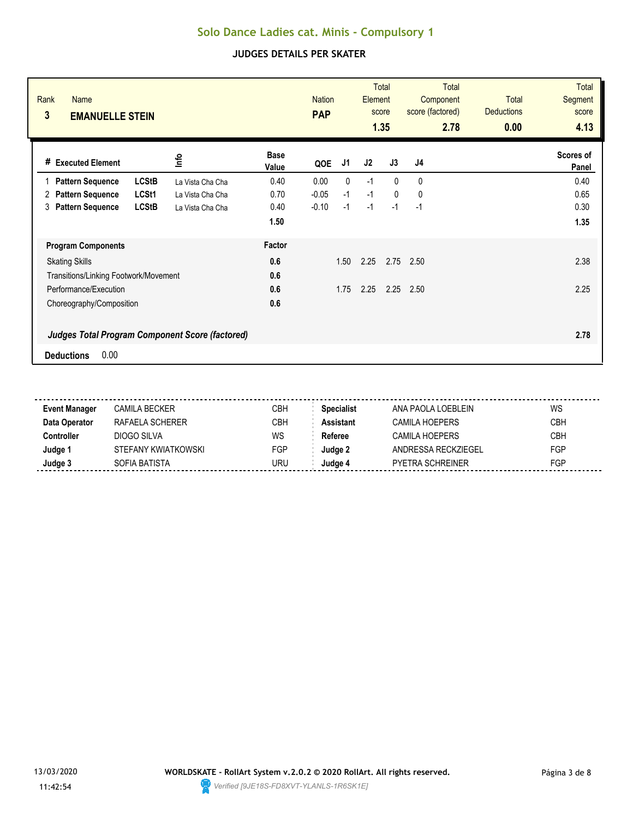| Rank<br><b>Name</b><br>3<br><b>EMANUELLE STEIN</b>                                  |                      | <b>Nation</b><br><b>PAP</b> |              | Element | <b>Total</b><br>score<br>1.35 | <b>Total</b><br>Component<br>score (factored)<br>2.78 | Total<br><b>Deductions</b><br>0.00 | <b>Total</b><br><b>Segment</b><br>score<br>4.13 |
|-------------------------------------------------------------------------------------|----------------------|-----------------------------|--------------|---------|-------------------------------|-------------------------------------------------------|------------------------------------|-------------------------------------------------|
| lnfo<br># Executed Element                                                          | <b>Base</b><br>Value | QOE                         | J1           | J2      | J3                            | J <sub>4</sub>                                        |                                    | Scores of<br>Panel                              |
| <b>LCStB</b><br><b>Pattern Sequence</b><br>La Vista Cha Cha                         | 0.40                 | 0.00                        | $\mathbf{0}$ | $-1$    | $\Omega$                      | 0                                                     |                                    | 0.40                                            |
| LCSt1<br><b>Pattern Sequence</b><br>2<br>La Vista Cha Cha                           | 0.70                 | $-0.05$                     | $-1$         | $-1$    | $\mathbf{0}$                  | 0                                                     |                                    | 0.65                                            |
| <b>LCStB</b><br><b>Pattern Sequence</b><br>3<br>La Vista Cha Cha                    | 0.40                 | $-0.10$                     | $-1$         | $-1$    | $-1$                          | $-1$                                                  |                                    | 0.30                                            |
|                                                                                     | 1.50                 |                             |              |         |                               |                                                       |                                    | 1.35                                            |
| <b>Program Components</b>                                                           | Factor               |                             |              |         |                               |                                                       |                                    |                                                 |
| <b>Skating Skills</b>                                                               | 0.6                  |                             | 1.50         | 2.25    | 2.75                          | 2.50                                                  |                                    | 2.38                                            |
| Transitions/Linking Footwork/Movement                                               | 0.6                  |                             |              |         |                               |                                                       |                                    |                                                 |
| Performance/Execution                                                               | 0.6                  |                             | 1.75         | 2.25    | 2.25                          | 2.50                                                  |                                    | 2.25                                            |
| Choreography/Composition                                                            | 0.6                  |                             |              |         |                               |                                                       |                                    |                                                 |
| <b>Judges Total Program Component Score (factored)</b><br>0.00<br><b>Deductions</b> |                      |                             |              |         |                               |                                                       |                                    | 2.78                                            |

| <b>Event Manager</b> | CAMILA BECKER       | CBH | <b>Specialist</b> | ANA PAOLA LOEBLEIN      | WS         |
|----------------------|---------------------|-----|-------------------|-------------------------|------------|
| Data Operator        | RAFAFI A SCHFRFR    | CBH | <b>Assistant</b>  | CAMILA HOFPERS          | <b>CBH</b> |
| Controller           | DIOGO SILVA         | WS  | Referee           | CAMILA HOFPFRS          | <b>CBH</b> |
| Judge 1              | STEFANY KWIATKOWSKI | FGP | Judge 2           | ANDRESSA RECKZIEGEL     | <b>FGP</b> |
| Judge 3              | SOFIA BATISTA       | URU | Judae 4           | <b>PYETRA SCHREINER</b> | FGP        |
|                      |                     |     |                   |                         |            |

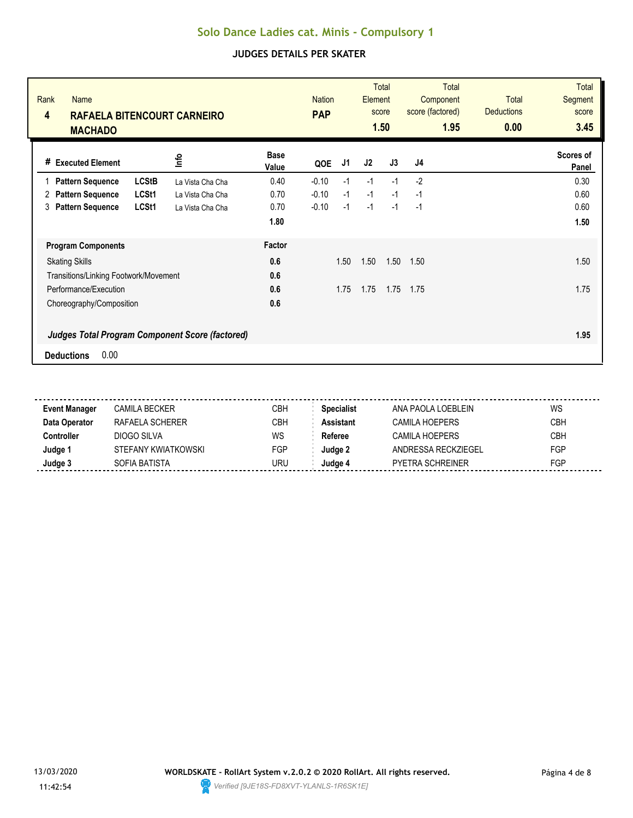| Rank<br><b>Name</b><br>4<br><b>RAFAELA BITENCOURT CARNEIRO</b><br><b>MACHADO</b>    |                  |                      | <b>Nation</b><br><b>PAP</b> |      | Element | <b>Total</b><br>score<br>1.50 | <b>Total</b><br>Component<br>score (factored)<br>1.95 | Total<br><b>Deductions</b><br>0.00 | <b>Total</b><br><b>Segment</b><br>score<br>3.45 |
|-------------------------------------------------------------------------------------|------------------|----------------------|-----------------------------|------|---------|-------------------------------|-------------------------------------------------------|------------------------------------|-------------------------------------------------|
| # Executed Element                                                                  | ٩f               | <b>Base</b><br>Value | QOE                         | J1   | J2      | J3                            | J4                                                    |                                    | Scores of<br>Panel                              |
| <b>LCStB</b><br><b>Pattern Sequence</b>                                             | La Vista Cha Cha | 0.40                 | $-0.10$                     | $-1$ | $-1$    | $-1$                          | $-2$                                                  |                                    | 0.30                                            |
| LCSt1<br><b>Pattern Sequence</b><br>2                                               | La Vista Cha Cha | 0.70                 | $-0.10$                     | $-1$ | $-1$    | $-1$                          | $-1$                                                  |                                    | 0.60                                            |
| LCSt1<br><b>Pattern Sequence</b><br>3                                               | La Vista Cha Cha | 0.70                 | $-0.10$                     | $-1$ | $-1$    | $-1$                          | $-1$                                                  |                                    | 0.60                                            |
|                                                                                     |                  | 1.80                 |                             |      |         |                               |                                                       |                                    | 1.50                                            |
| <b>Program Components</b>                                                           |                  | Factor               |                             |      |         |                               |                                                       |                                    |                                                 |
| <b>Skating Skills</b>                                                               |                  | 0.6                  |                             | 1.50 | 1.50    | 1.50                          | 1.50                                                  |                                    | 1.50                                            |
| Transitions/Linking Footwork/Movement                                               |                  | 0.6                  |                             |      |         |                               |                                                       |                                    |                                                 |
| Performance/Execution                                                               |                  | 0.6                  |                             | 1.75 | 1.75    | 1.75                          | 1.75                                                  |                                    | 1.75                                            |
| Choreography/Composition                                                            |                  | 0.6                  |                             |      |         |                               |                                                       |                                    |                                                 |
| <b>Judges Total Program Component Score (factored)</b><br>0.00<br><b>Deductions</b> |                  |                      |                             |      |         |                               |                                                       |                                    | 1.95                                            |

| <b>Event Manager</b> | CAMILA BECKER       | CBH | <b>Specialist</b> | ANA PAOLA LOEBLEIN      | WS         |
|----------------------|---------------------|-----|-------------------|-------------------------|------------|
| Data Operator        | RAFAFI A SCHFRFR    | CBH | <b>Assistant</b>  | CAMILA HOFPERS          | <b>CBH</b> |
| Controller           | DIOGO SILVA         | WS  | Referee           | CAMILA HOFPFRS          | <b>CBH</b> |
| Judge 1              | STEFANY KWIATKOWSKI | FGP | Judge 2           | ANDRESSA RECKZIEGEL     | <b>FGP</b> |
| Judge 3              | SOFIA BATISTA       | URU | Judae 4           | <b>PYETRA SCHREINER</b> | FGP        |
|                      |                     |     |                   |                         |            |

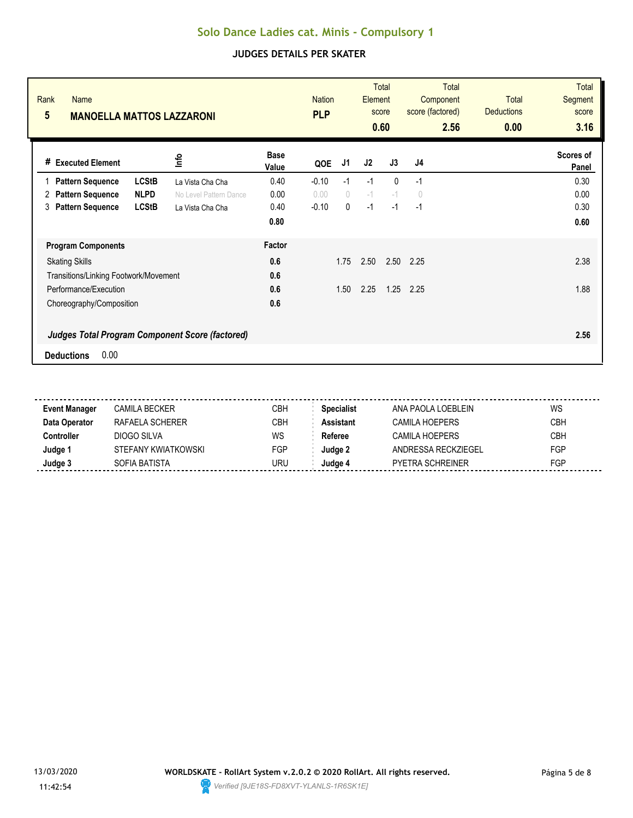| Rank<br><b>Name</b><br>$5\phantom{.0}$<br><b>MANOELLA MATTOS LAZZARONI</b>          |                      | <b>Nation</b><br><b>PLP</b> |            | Element | <b>Total</b><br>score<br>0.60 | <b>Total</b><br>Component<br>score (factored)<br>2.56 | <b>Total</b><br><b>Deductions</b><br>0.00 | <b>Total</b><br><b>Segment</b><br>score<br>3.16 |
|-------------------------------------------------------------------------------------|----------------------|-----------------------------|------------|---------|-------------------------------|-------------------------------------------------------|-------------------------------------------|-------------------------------------------------|
| lnfo<br># Executed Element                                                          | <b>Base</b><br>Value | QOE                         | J1         | J2      | J3                            | J <sub>4</sub>                                        |                                           | Scores of<br>Panel                              |
| <b>LCStB</b><br><b>Pattern Sequence</b><br>La Vista Cha Cha                         | 0.40                 | $-0.10$                     | $-1$       | $-1$    | $\Omega$                      | $-1$                                                  |                                           | 0.30                                            |
| <b>NLPD</b><br><b>Pattern Sequence</b><br>2<br>No Level Pattern Dance               | 0.00                 | 0.00                        | $\bigcirc$ | $-1$    | $-1$                          | $\theta$                                              |                                           | 0.00                                            |
| <b>LCStB</b><br><b>Pattern Sequence</b><br>3<br>La Vista Cha Cha                    | 0.40                 | $-0.10$                     | 0          | $-1$    | $-1$                          | $-1$                                                  |                                           | 0.30                                            |
|                                                                                     | 0.80                 |                             |            |         |                               |                                                       |                                           | 0.60                                            |
| <b>Program Components</b>                                                           | Factor               |                             |            |         |                               |                                                       |                                           |                                                 |
| <b>Skating Skills</b>                                                               | 0.6                  |                             | 1.75       | 2.50    | 2.50                          | 2.25                                                  |                                           | 2.38                                            |
| Transitions/Linking Footwork/Movement                                               | 0.6                  |                             |            |         |                               |                                                       |                                           |                                                 |
| Performance/Execution                                                               | 0.6                  |                             | 1.50       | 2.25    | 1.25                          | 2.25                                                  |                                           | 1.88                                            |
| Choreography/Composition                                                            | 0.6                  |                             |            |         |                               |                                                       |                                           |                                                 |
| <b>Judges Total Program Component Score (factored)</b><br>0.00<br><b>Deductions</b> |                      |                             |            |         |                               |                                                       |                                           | 2.56                                            |

| <b>Event Manager</b> | CAMILA BECKER       | CBH | <b>Specialist</b> | ANA PAOLA LOEBLEIN      | WS         |
|----------------------|---------------------|-----|-------------------|-------------------------|------------|
| Data Operator        | RAFAFI A SCHFRFR    | CBH | <b>Assistant</b>  | CAMILA HOFPERS          | <b>CBH</b> |
| Controller           | DIOGO SILVA         | WS  | Referee           | CAMILA HOFPFRS          | <b>CBH</b> |
| Judge 1              | STEFANY KWIATKOWSKI | FGP | Judge 2           | ANDRESSA RECKZIEGEL     | <b>FGP</b> |
| Judge 3              | SOFIA BATISTA       | URU | Judae 4           | <b>PYETRA SCHREINER</b> | FGP        |
|                      |                     |     |                   |                         |            |

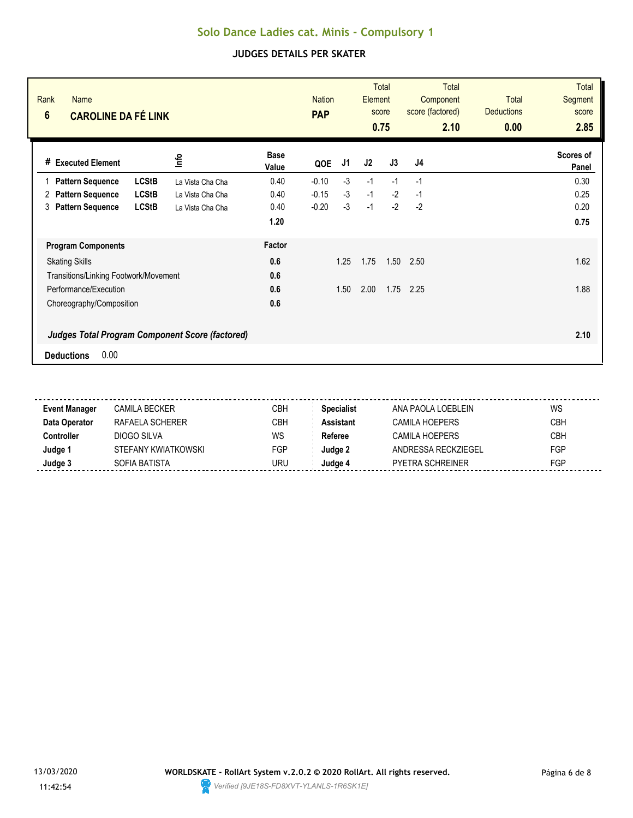| Rank<br><b>Name</b><br>$6\phantom{a}$<br><b>CAROLINE DA FÉ LINK</b> |                  |                      | <b>Nation</b><br><b>PAP</b> |      | Element | <b>Total</b><br>score<br>0.75 | <b>Total</b><br>Component<br>score (factored)<br>2.10 | <b>Total</b><br><b>Deductions</b><br>0.00 | <b>Total</b><br><b>Segment</b><br>score<br>2.85 |
|---------------------------------------------------------------------|------------------|----------------------|-----------------------------|------|---------|-------------------------------|-------------------------------------------------------|-------------------------------------------|-------------------------------------------------|
| # Executed Element                                                  | lnfo             | <b>Base</b><br>Value | QOE                         | J1   | J2      | J3                            | J <sub>4</sub>                                        |                                           | Scores of<br>Panel                              |
| <b>LCStB</b><br><b>Pattern Sequence</b>                             | La Vista Cha Cha | 0.40                 | $-0.10$                     | $-3$ | $-1$    | $-1$                          | $-1$                                                  |                                           | 0.30                                            |
| <b>LCStB</b><br><b>Pattern Sequence</b><br>2                        | La Vista Cha Cha | 0.40                 | $-0.15$                     | $-3$ | $-1$    | $-2$                          | $-1$                                                  |                                           | 0.25                                            |
| <b>LCStB</b><br><b>Pattern Sequence</b><br>3                        | La Vista Cha Cha | 0.40                 | $-0.20$                     | $-3$ | $-1$    | $-2$                          | $-2$                                                  |                                           | 0.20                                            |
|                                                                     |                  | 1.20                 |                             |      |         |                               |                                                       |                                           | 0.75                                            |
| <b>Program Components</b>                                           |                  | Factor               |                             |      |         |                               |                                                       |                                           |                                                 |
| <b>Skating Skills</b>                                               |                  | 0.6                  |                             | 1.25 | 1.75    | 1.50                          | 2.50                                                  |                                           | 1.62                                            |
| Transitions/Linking Footwork/Movement                               |                  | 0.6                  |                             |      |         |                               |                                                       |                                           |                                                 |
| Performance/Execution                                               |                  | 0.6                  |                             | 1.50 | 2.00    | 1.75                          | 2.25                                                  |                                           | 1.88                                            |
| Choreography/Composition                                            |                  | 0.6                  |                             |      |         |                               |                                                       |                                           |                                                 |
| <b>Judges Total Program Component Score (factored)</b>              |                  |                      |                             |      |         |                               |                                                       |                                           | 2.10                                            |
| 0.00<br><b>Deductions</b>                                           |                  |                      |                             |      |         |                               |                                                       |                                           |                                                 |

| <b>Event Manager</b> | CAMILA BECKER       | CBH | <b>Specialist</b> | ANA PAOLA LOEBI FIN     | WS         |
|----------------------|---------------------|-----|-------------------|-------------------------|------------|
| Data Operator        | RAFAFI A SCHFRFR    | СВН | Assistant         | CAMILA HOEPFRS          | <b>CBH</b> |
| Controller           | DIOGO SILVA         | WS  | Referee           | CAMILA HOEPERS          | <b>CBH</b> |
| Judge 1              | STEFANY KWIATKOWSKI | FGP | Judae 2           | ANDRESSA RECKZIEGEL     | <b>FGP</b> |
| Judge 3              | SOFIA BATISTA       | URU | Judge 4           | <b>PYETRA SCHREINER</b> | FGP        |
|                      |                     |     |                   |                         |            |

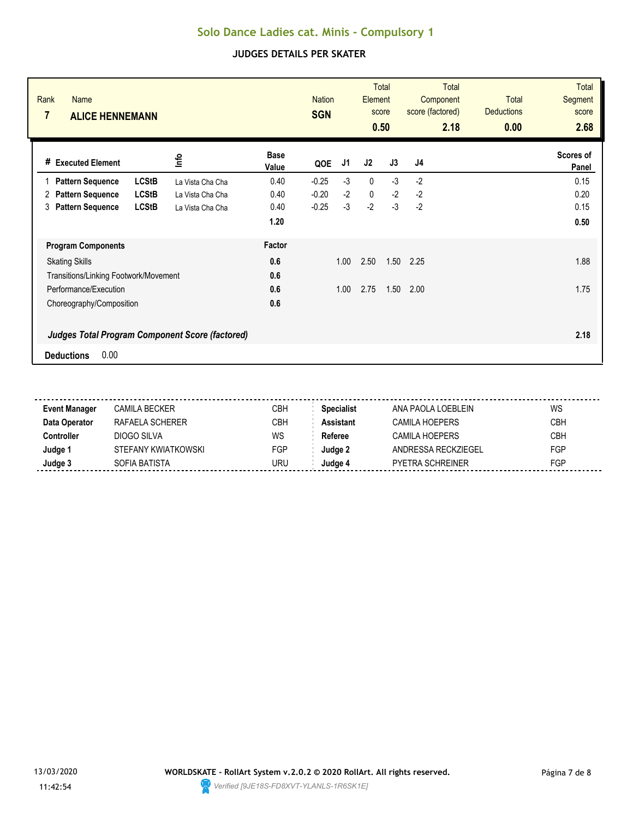| Rank<br><b>Name</b><br>$\overline{7}$<br><b>ALICE HENNEMANN</b>                     |                  |                      | <b>Nation</b><br><b>SGN</b> |      | Element      | <b>Total</b><br>score<br>0.50 | <b>Total</b><br>Component<br>score (factored)<br>2.18 | <b>Total</b><br><b>Deductions</b><br>0.00 | <b>Total</b><br><b>Segment</b><br>score<br>2.68 |
|-------------------------------------------------------------------------------------|------------------|----------------------|-----------------------------|------|--------------|-------------------------------|-------------------------------------------------------|-------------------------------------------|-------------------------------------------------|
| # Executed Element                                                                  | lnfo             | <b>Base</b><br>Value | QOE                         | J1   | J2           | J3                            | J <sub>4</sub>                                        |                                           | Scores of<br>Panel                              |
| <b>LCStB</b><br><b>Pattern Sequence</b>                                             | La Vista Cha Cha | 0.40                 | $-0.25$                     | $-3$ | $\mathbf 0$  | $-3$                          | $-2$                                                  |                                           | 0.15                                            |
| <b>LCStB</b><br><b>Pattern Sequence</b><br>2                                        | La Vista Cha Cha | 0.40                 | $-0.20$                     | $-2$ | $\mathbf{0}$ | $-2$                          | $-2$                                                  |                                           | 0.20                                            |
| <b>Pattern Sequence</b><br><b>LCStB</b><br>3                                        | La Vista Cha Cha | 0.40                 | $-0.25$                     | $-3$ | $-2$         | $-3$                          | $-2$                                                  |                                           | 0.15                                            |
|                                                                                     |                  | 1.20                 |                             |      |              |                               |                                                       |                                           | 0.50                                            |
| <b>Program Components</b>                                                           |                  | Factor               |                             |      |              |                               |                                                       |                                           |                                                 |
| <b>Skating Skills</b>                                                               |                  | 0.6                  |                             | 1.00 | 2.50         | 1.50                          | 2.25                                                  |                                           | 1.88                                            |
| Transitions/Linking Footwork/Movement                                               |                  | 0.6                  |                             |      |              |                               |                                                       |                                           |                                                 |
| Performance/Execution                                                               |                  | 0.6                  |                             | 1.00 | 2.75         | 1.50                          | 2.00                                                  |                                           | 1.75                                            |
| Choreography/Composition                                                            |                  | 0.6                  |                             |      |              |                               |                                                       |                                           |                                                 |
| <b>Judges Total Program Component Score (factored)</b><br>0.00<br><b>Deductions</b> |                  |                      |                             |      |              |                               |                                                       |                                           | 2.18                                            |

| <b>Event Manager</b> | CAMILA BECKER       | CBH | <b>Specialist</b> | ANA PAOLA LOEBLEIN      | WS         |
|----------------------|---------------------|-----|-------------------|-------------------------|------------|
| Data Operator        | RAFAFI A SCHFRFR    | CBH | <b>Assistant</b>  | CAMILA HOEPFRS          | <b>CBH</b> |
| Controller           | DIOGO SILVA         | WS  | Referee           | CAMILA HOFPFRS          | <b>CBH</b> |
| Judge 1              | STEFANY KWIATKOWSKI | FGP | Judge 2           | ANDRESSA RECKZIEGEL     | <b>FGP</b> |
| Judge 3              | SOFIA BATISTA       | URU | Judge 4           | <b>PYETRA SCHREINER</b> | <b>FGP</b> |
|                      |                     |     |                   |                         |            |